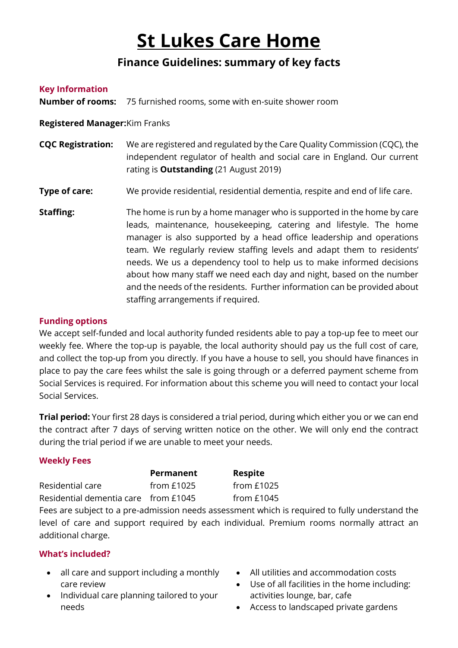# **St Lukes Care Home**

# **Finance Guidelines: summary of key facts**

#### **Key Information**

**Number of rooms:** 75 furnished rooms, some with en-suite shower room

**Registered Manager:**Kim Franks

- **CQC Registration:** We are registered and regulated by the Care Quality Commission (CQC), the independent regulator of health and social care in England. Our current rating is **Outstanding** (21 August 2019)
- **Type of care:** We provide residential, residential dementia, respite and end of life care.
- **Staffing:** The home is run by a home manager who is supported in the home by care leads, maintenance, housekeeping, catering and lifestyle. The home manager is also supported by a head office leadership and operations team. We regularly review staffing levels and adapt them to residents' needs. We us a dependency tool to help us to make informed decisions about how many staff we need each day and night, based on the number and the needs of the residents. Further information can be provided about staffing arrangements if required.

#### **Funding options**

We accept self-funded and local authority funded residents able to pay a top-up fee to meet our weekly fee. Where the top-up is payable, the local authority should pay us the full cost of care, and collect the top-up from you directly. If you have a house to sell, you should have finances in place to pay the care fees whilst the sale is going through or a deferred payment scheme from Social Services is required. For information about this scheme you will need to contact your local Social Services.

**Trial period:** Your first 28 days is considered a trial period, during which either you or we can end the contract after 7 days of serving written notice on the other. We will only end the contract during the trial period if we are unable to meet your needs.

# **Weekly Fees**

|                                      | <b>Permanent</b> | Respite      |
|--------------------------------------|------------------|--------------|
| Residential care                     | from $£1025$     | from $£1025$ |
| Residential dementia care from £1045 |                  | from $£1045$ |

Fees are subject to a pre-admission needs assessment which is required to fully understand the level of care and support required by each individual. Premium rooms normally attract an additional charge.

# **What's included?**

- all care and support including a monthly care review
- Individual care planning tailored to your needs
- All utilities and accommodation costs
- Use of all facilities in the home including: activities lounge, bar, cafe
- Access to landscaped private gardens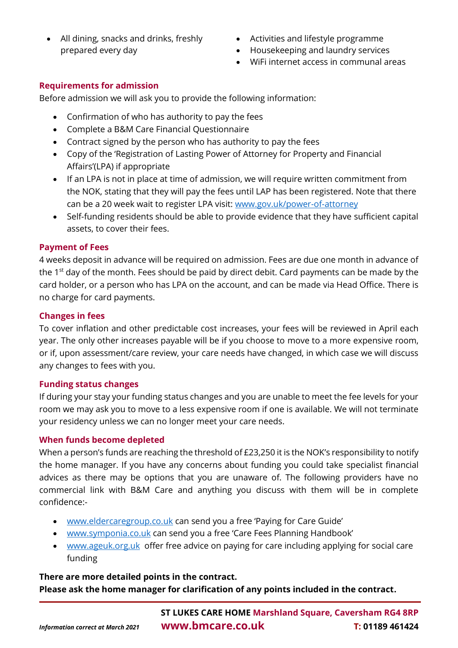- All dining, snacks and drinks, freshly prepared every day
- Activities and lifestyle programme
- Housekeeping and laundry services
- WiFi internet access in communal areas

# **Requirements for admission**

Before admission we will ask you to provide the following information:

- Confirmation of who has authority to pay the fees
- Complete a B&M Care Financial Questionnaire
- Contract signed by the person who has authority to pay the fees
- Copy of the 'Registration of Lasting Power of Attorney for Property and Financial Affairs'(LPA) if appropriate
- If an LPA is not in place at time of admission, we will require written commitment from the NOK, stating that they will pay the fees until LAP has been registered. Note that there can be a 20 week wait to register LPA visit: [www.gov.uk/power-of-attorney](http://www.gov.uk/power-of-attorney)
- Self-funding residents should be able to provide evidence that they have sufficient capital assets, to cover their fees.

# **Payment of Fees**

4 weeks deposit in advance will be required on admission. Fees are due one month in advance of the  $1<sup>st</sup>$  day of the month. Fees should be paid by direct debit. Card payments can be made by the card holder, or a person who has LPA on the account, and can be made via Head Office. There is no charge for card payments.

# **Changes in fees**

To cover inflation and other predictable cost increases, your fees will be reviewed in April each year. The only other increases payable will be if you choose to move to a more expensive room, or if, upon assessment/care review, your care needs have changed, in which case we will discuss any changes to fees with you.

# **Funding status changes**

If during your stay your funding status changes and you are unable to meet the fee levels for your room we may ask you to move to a less expensive room if one is available. We will not terminate your residency unless we can no longer meet your care needs.

# **When funds become depleted**

When a person's funds are reaching the threshold of £23,250 it is the NOK's responsibility to notify the home manager. If you have any concerns about funding you could take specialist financial advices as there may be options that you are unaware of. The following providers have no commercial link with B&M Care and anything you discuss with them will be in complete confidence:-

- [www.eldercaregroup.co.uk](http://www.eldercaregroup.co.uk/) can send you a free 'Paying for Care Guide'
- [www.symponia.co.uk](http://www.symponia.co.uk/) can send you a free 'Care Fees Planning Handbook'
- [www.ageuk.org.uk](http://www.ageuk.org.uk/) offer free advice on paying for care including applying for social care funding

# **There are more detailed points in the contract. Please ask the home manager for clarification of any points included in the contract.**